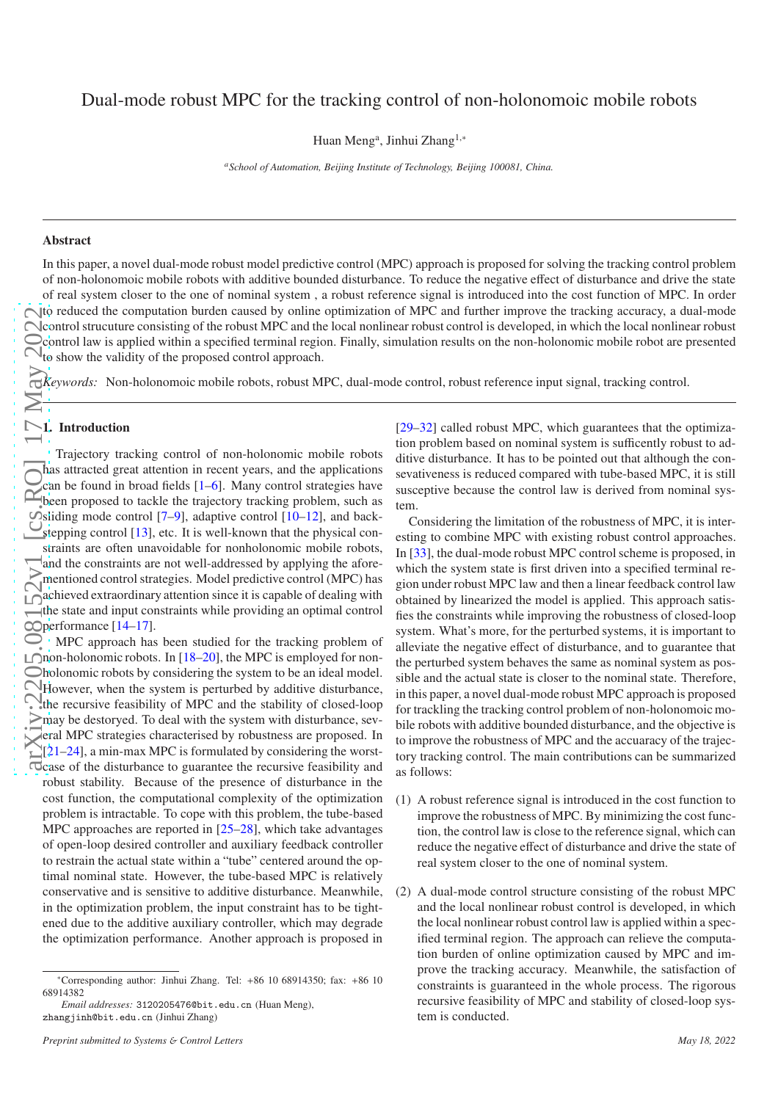Huan Meng<sup>a</sup>, Jinhui Zhang<sup>1,\*</sup>

*<sup>a</sup>School of Automation, Beijing Institute of Technology, Beijing 100081, China.*

# Abstract

In this paper, a novel dual-mode robust model predictive control (MPC) approach is proposed for solving the tracking control problem of non-holonomoic mobile robots with additive bounded disturbance. To reduce the negative e ffect of disturbance and drive the state of real system closer to the one of nominal system , a robust reference signal is introduced into the cost function of MPC. In order sto reduced the computation burden caused by online optimization of MPC and further improve the tracking accuracy, a dual-mode control strucuture consisting of the robust MPC and the local nonlinear robust control is developed, in which the local nonlinear robust control law is applied within a specified terminal region. Finally, simulation results on the non-holonomic mobile robot are presented  $\bigcirc$  to show the validity of the proposed control approach.

*Keywords:* Non-holonomoic mobile robots, robust MPC, dual-mode control, robust reference input signal, tracking control.

# $\sum$  1. Introduction

 $\frac{1}{2}$   $\frac{1}{2}$   $\frac{1}{2}$   $\frac{2}{2}$   $\frac{1}{2}$   $\frac{1}{2}$   $\frac{1}{2}$   $\frac{1}{2}$   $\frac{1}{2}$   $\frac{1}{2}$   $\frac{1}{2}$   $\frac{1}{2}$   $\frac{1}{2}$   $\frac{1}{2}$   $\frac{1}{2}$   $\frac{1}{2}$   $\frac{1}{2}$   $\frac{1}{2}$   $\frac{1}{2}$   $\frac{1}{2}$   $\frac{1}{2}$   $\frac{1}{2}$  Trajectory tracking control of non-holonomic mobile robot s has attracted great attention in recent years, and the applications can be found in broad fields [ [1](#page-5-0) – [6\]](#page-6-0). Many control strategies have been proposed to tackle the trajectory tracking problem, such as sliding mode control  $[7-9]$  $[7-9]$  $[7-9]$  $[7-9]$  $[7-9]$ , adaptive control  $[10-12]$  $[10-12]$ , and back-Stepping control [\[13](#page-6-5)], etc. It is well-known that the physical constraints are often unavoidable for nonholonomic mobile robots, and the constraints are not well-addressed by applying the aforementioned control strategies. Model predictive control (MPC) has achieved extraordinary attention since it is capable of dealing with the state and input constraints while providing an optimal control performance [\[14](#page-6-6) [–17\]](#page-6-7).

MPC approach has been studied for the tracking problem of non-holonomic robots. In [\[18](#page-6-8) [–20\]](#page-6-9), the MPC is employed for nonholonomic robots by considering the system to be an ideal model. However, when the system is perturbed by additive disturbance, the recursive feasibility of MPC and the stability of closed-loop may be destoryed. To deal with the system with disturbance, sev-**Example 12** MPC strategies characterised by robustness are proposed. In  $[21-24]$  $[21-24]$ , a min-max MPC is formulated by considering the worstcase of the disturbance to guarantee the recursive feasibility and robust stability. Because of the presence of disturbance in the cost function, the computational complexity of the optimization problem is intractable. To cope with this problem, the tube-based MPC approaches are reported in [\[25](#page-6-12) [–28\]](#page-6-13), which take advantages of open-loop desired controller and auxiliary feedback controller to restrain the actual state within a "tube" centered around the optimal nominal state. However, the tube-based MPC is relatively conservative and is sensitive to additive disturbance. Meanwhile, in the optimization problem, the input constraint has to be tightened due to the additive auxiliary controller, which may degrade the optimization performance. Another approach is proposed in

[\[29](#page-6-14)[–32\]](#page-6-15) called robust MPC, which guarantees that the optimization problem based on nominal system is sufficently robust to additive disturbance. It has to be pointed out that although the consevativeness is reduced compared with tube-based MPC, it is still susceptive because the control law is derived from nominal system.

Considering the limitation of the robustness of MPC, it is interesting to combine MPC with existing robust control approaches. In [\[33](#page-6-16)], the dual-mode robust MPC control scheme is proposed, in which the system state is first driven into a specified terminal region under robust MPC law and then a linear feedback control law obtained by linearized the model is applied. This approach satisfies the constraints while improving the robustness of closed-loop system. What's more, for the perturbed systems, it is important to alleviate the negative e ffect of disturbance, and to guarantee that the perturbed system behaves the same as nominal system as possible and the actual state is closer to the nominal state. Therefore, in this paper, a novel dual-mode robust MPC approach is proposed for trackling the tracking control problem of non-holonomoic mobile robots with additive bounded disturbance, and the objective is to improve the robustness of MPC and the accuaracy of the trajectory tracking control. The main contributions can be summarized as follows:

- (1) A robust reference signal is introduced in the cost function to improve the robustness of MPC. By minimizing the cost function, the control law is close to the reference signal, which can reduce the negative e ffect of disturbance and drive the state of real system closer to the one of nominal system.
- (2) A dual-mode control structure consisting of the robust MPC and the local nonlinear robust control is developed, in whic h the local nonlinear robust control law is applied within a specified terminal region. The approach can relieve the computation burden of online optimization caused by MPC and improve the tracking accuracy. Meanwhile, the satisfaction of constraints is guaranteed in the whole process. The rigorou s recursive feasibility of MPC and stability of closed-loop system is conducted.

<sup>∗</sup>Corresponding author: Jinhui Zhang. Tel: +86 10 68914350; fax: +86 10 68914382

*Email addresses:* 3120205476@bit.edu.cn (Huan Meng), zhangjinh@bit.edu.cn (Jinhui Zhang)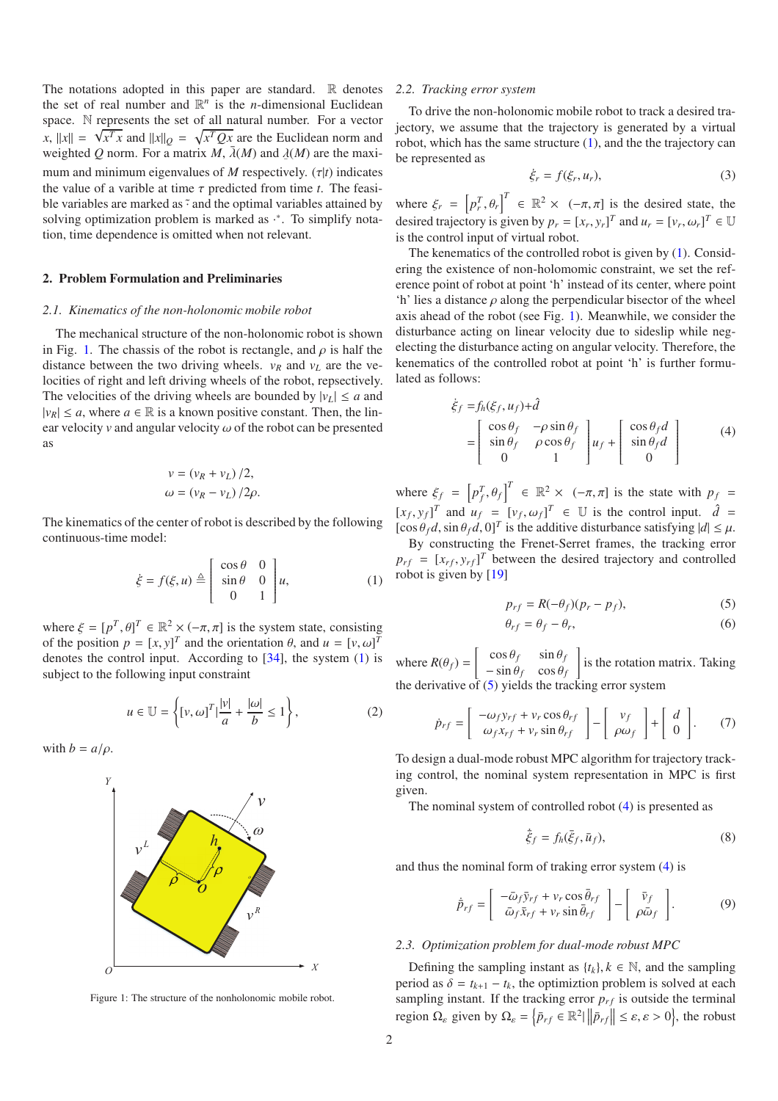The notations adopted in this paper are standard.  $\mathbb R$  denotes the set of real number and  $\mathbb{R}^n$  is the *n*-dimensional Euclidean space. N represents the set of all natural number. For a vector *x*,  $||x|| = \sqrt{x^T x}$  and  $||x||_Q = \sqrt{x^T Q x}$  are the Euclidean norm and weighted *Q* norm. For a matrix *M*,  $\bar{\lambda}(M)$  and  $\underline{\lambda}(M)$  are the maximum and minimum eigenvalues of *M* respectively. ( $\tau$ |*t*) indicates the value of a varible at time  $\tau$  predicted from time  $t$ . The feasible variables are marked as  $\tilde{\cdot}$  and the optimal variables attained by solving optimization problem is marked as  $\cdot$ <sup>\*</sup>. To simplify notation, time dependence is omitted when not relevant.

## 2. Problem Formulation and Preliminaries

#### *2.1. Kinematics of the non-holonomic mobile robot*

The mechanical structure of the non-holonomic robot is shown in Fig. [1.](#page-1-0) The chassis of the robot is rectangle, and  $\rho$  is half the distance between the two driving wheels.  $v_R$  and  $v_L$  are the velocities of right and left driving wheels of the robot, repsectively. The velocities of the driving wheels are bounded by  $|v_L| \le a$  and  $|v_R| \le a$ , where  $a \in \mathbb{R}$  is a known positive constant. Then, the linear velocity  $v$  and angular velocity  $\omega$  of the robot can be presented as

$$
v = (v_R + v_L) / 2,
$$
  

$$
\omega = (v_R - v_L) / 2\rho.
$$

The kinematics of the center of robot is described by the following continuous-time model:

$$
\dot{\xi} = f(\xi, u) \stackrel{\Delta}{=} \begin{bmatrix} \cos \theta & 0 \\ \sin \theta & 0 \\ 0 & 1 \end{bmatrix} u,
$$
 (1)

where  $\xi = [p^T, \theta]^T \in \mathbb{R}^2 \times (-\pi, \pi]$  is the system state, consisting of the position  $p = [x, y]^T$  and the orientation  $\theta$ , and  $u = [v, \omega]^T$ denotes the control input. According to [\[34\]](#page-6-17), the system [\(1\)](#page-1-1) is subject to the following input constraint

$$
u \in \mathbb{U} = \left\{ [v, \omega]^T | \frac{|v|}{a} + \frac{|\omega|}{b} \le 1 \right\},\tag{2}
$$

with  $b = a/\rho$ .



<span id="page-1-0"></span>Figure 1: The structure of the nonholonomic mobile robot.

#### *2.2. Tracking error system*

To drive the non-holonomic mobile robot to track a desired trajectory, we assume that the trajectory is generated by a virtual robot, which has the same structure  $(1)$ , and the the trajectory can be represented as

$$
\dot{\xi}_r = f(\xi_r, u_r),\tag{3}
$$

where  $\xi_r = \left[ p_r^T, \theta_r \right]^T \in \mathbb{R}^2 \times (-\pi, \pi]$  is the desired state, the desired trajectory is given by  $p_r = [x_r, y_r]^T$  and  $u_r = [v_r, \omega_r]^T \in \mathbb{U}$ is the control input of virtual robot.

The kenematics of the controlled robot is given by [\(1\)](#page-1-1). Considering the existence of non-holomomic constraint, we set the reference point of robot at point 'h' instead of its center, where point 'h' lies a distance  $\rho$  along the perpendicular bisector of the wheel axis ahead of the robot (see Fig. [1\)](#page-1-0). Meanwhile, we consider the disturbance acting on linear velocity due to sideslip while negelecting the disturbance acting on angular velocity. Therefore, the kenematics of the controlled robot at point 'h' is further formulated as follows:

<span id="page-1-3"></span>
$$
\dot{\xi}_f = f_h(\xi_f, u_f) + \hat{d}
$$
\n
$$
= \begin{bmatrix}\n\cos \theta_f & -\rho \sin \theta_f \\
\sin \theta_f & \rho \cos \theta_f \\
0 & 1\n\end{bmatrix} u_f + \begin{bmatrix}\n\cos \theta_f d \\
\sin \theta_f d \\
0\n\end{bmatrix}
$$
\n(4)

where  $\xi_f = \left[ p_f^T, \theta_f \right]^T \in \mathbb{R}^2 \times \left( -\pi, \pi \right]$  is the state with  $p_f =$  $[x_f, y_f]^T$  and  $u_f = [v_f, \omega_f]^T \in \mathbb{U}$  is the control input.  $\hat{d} =$  $[\cos \theta_f d, \sin \theta_f d, 0]^T$  is the additive disturbance satisfying  $|d| \leq \mu$ .

<span id="page-1-1"></span>By constructing the Frenet-Serret frames, the tracking error  $p_{rf} = [x_{rf}, y_{rf}]^T$  between the desired trajectory and controlled robot is given by [\[19](#page-6-18)]

<span id="page-1-2"></span>
$$
p_{rf} = R(-\theta_f)(p_r - p_f),\tag{5}
$$

$$
\theta_{rf} = \theta_f - \theta_r,\tag{6}
$$

<span id="page-1-7"></span>where  $R(\theta_f) = \begin{bmatrix} \cos \theta_f & \sin \theta_f \\ \sin \theta_f & \cos \theta_f \end{bmatrix}$  $-\sin\theta_f \cos\theta_f$ is the rotation matrix. Taking the derivative of  $(5)$  yields the tracking error system

$$
\dot{p}_{rf} = \left[ \begin{array}{c} -\omega_f y_{rf} + v_r \cos \theta_{rf} \\ \omega_f x_{rf} + v_r \sin \theta_{rf} \end{array} \right] - \left[ \begin{array}{c} v_f \\ \rho \omega_f \end{array} \right] + \left[ \begin{array}{c} d \\ 0 \end{array} \right]. \tag{7}
$$

To design a dual-mode robust MPC algorithm for trajectory tracking control, the nominal system representation in MPC is first given.

The nominal system of controlled robot [\(4\)](#page-1-3) is presented as

<span id="page-1-6"></span><span id="page-1-5"></span><span id="page-1-4"></span>
$$
\dot{\bar{\xi}}_f = f_h(\bar{\xi}_f, \bar{u}_f),\tag{8}
$$

and thus the nominal form of traking error system [\(4\)](#page-1-3) is

$$
\dot{\bar{p}}_{rf} = \begin{bmatrix} -\bar{\omega}_f \bar{y}_{rf} + v_r \cos \bar{\theta}_{rf} \\ \bar{\omega}_f \bar{x}_{rf} + v_r \sin \bar{\theta}_{rf} \end{bmatrix} - \begin{bmatrix} \bar{v}_f \\ \rho \bar{\omega}_f \end{bmatrix}.
$$
 (9)

#### *2.3. Optimization problem for dual-mode robust MPC*

Defining the sampling instant as  $\{t_k\}, k \in \mathbb{N}$ , and the sampling period as  $\delta = t_{k+1} - t_k$ , the optimizion problem is solved at each sampling instant. If the tracking error  $p_{rf}$  is outside the terminal region  $\Omega_{\varepsilon}$  given by  $\Omega_{\varepsilon} = \left\{ \bar{p}_{rf} \in \mathbb{R}^2 \middle| \left\| \bar{p}_{rf} \right\| \leq \varepsilon, \varepsilon > 0 \right\}$ , the robust |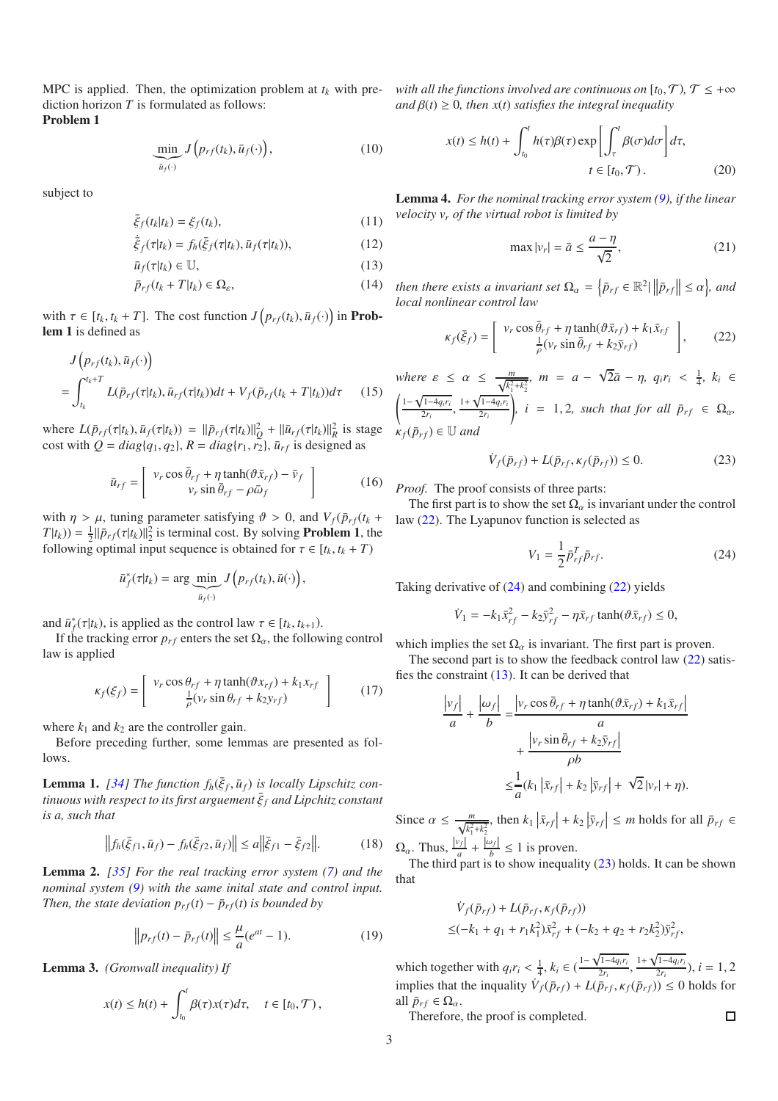MPC is applied. Then, the optimization problem at  $t_k$  with prediction horizon *T* is formulated as follows: Problem 1

$$
\underbrace{\min}_{\bar{u}_f(\cdot)} J\left(p_{rf}(t_k), \bar{u}_f(\cdot)\right),\tag{10}
$$

subject to

$$
\bar{\xi}_f(t_k|t_k) = \xi_f(t_k),\tag{11}
$$

$$
\dot{\bar{\xi}}_f(\tau|t_k) = f_h(\bar{\xi}_f(\tau|t_k), \bar{u}_f(\tau|t_k)),\tag{12}
$$

$$
\bar{u}_f(\tau|t_k) \in \mathbb{U},\tag{13}
$$

$$
\bar{p}_{rf}(t_k + T|t_k) \in \Omega_{\varepsilon},\tag{14}
$$

with  $\tau \in [t_k, t_k + T]$ . The cost function  $J(p_{rf}(t_k), \bar{u}_f(\cdot))$  in **Prob**lem 1 is defined as

$$
J(p_{rf}(t_k), \bar{u}_f(\cdot))
$$
  
= 
$$
\int_{t_k}^{t_k+T} L(\bar{p}_{rf}(\tau|t_k), \bar{u}_{rf}(\tau|t_k))dt + V_f(\bar{p}_{rf}(t_k+T|t_k))d\tau
$$
 (15)

 $\text{where } L(\bar{p}_{rf}(\tau | t_k), \bar{u}_f(\tau | t_k)) = ||\bar{p}_{rf}(\tau | t_k)||_Q^2 + ||\bar{u}_{rf}(\tau | t_k)||_R^2$  is stage cost with  $Q = diag(q_1, q_2)$ ,  $R = diag(r_1, r_2)$ ,  $\bar{u}_{rf}$  is designed as

$$
\bar{u}_{rf} = \left[ \begin{array}{c} v_r \cos \bar{\theta}_{rf} + \eta \tanh(\vartheta \bar{x}_{rf}) - \bar{v}_f \\ v_r \sin \bar{\theta}_{rf} - \rho \bar{\omega}_f \end{array} \right] \tag{16}
$$

with  $\eta > \mu$ , tuning parameter satisfying  $\vartheta > 0$ , and  $V_f(\bar{p}_{rf}(t_k +$  $T(t_k)$ ) =  $\frac{1}{2}$ || $\bar{p}_{rf}(\tau|t_k)$ || $\frac{2}{2}$  is terminal cost. By solving **Problem 1**, the following optimal input sequence is obtained for  $\tau \in [t_k, t_k + T)$ 

$$
\bar{u}_f^*(\tau|t_k) = \arg \underbrace{\min}_{\bar{u}_f(\cdot)} J\left(p_{rf}(t_k), \bar{u}(\cdot)\right),
$$

and  $\bar{u}_f^*(\tau|t_k)$ , is applied as the control law  $\tau \in [t_k, t_{k+1})$ .

If the tracking error  $p_{rf}$  enters the set  $\Omega_{\alpha}$ , the following control law is applied

$$
\kappa_f(\xi_f) = \begin{bmatrix} v_r \cos \theta_{rf} + \eta \tanh(\vartheta x_{rf}) + k_1 x_{rf} \\ \frac{1}{\rho}(v_r \sin \theta_{rf} + k_2 y_{rf}) \end{bmatrix} \tag{17}
$$

where  $k_1$  and  $k_2$  are the controller gain.

Before preceding further, some lemmas are presented as follows.

**Lemma 1.** [\[34](#page-6-17)] The function  $f_h(\bar{\xi}_f, \bar{u}_f)$  is locally Lipschitz con $t$ *inuous with respect to its first arguement*  $\bar{\xi}_f$  *and Lipchitz constant is a, such that*

$$
\left\| f_h(\bar{\xi}_{f1}, \bar{u}_f) - f_h(\bar{\xi}_{f2}, \bar{u}_f) \right\| \le a \left\| \bar{\xi}_{f1} - \bar{\xi}_{f2} \right\|.
$$
 (18)

Lemma 2. *[\[35\]](#page-6-19) For the real tracking error system [\(7\)](#page-1-4) and the nominal system [\(9\)](#page-1-5) with the same inital state and control input. Then, the state deviation*  $p_{rf}(t) - \bar{p}_{rf}(t)$  *<i>is bounded by* 

$$
\|p_{rf}(t) - \bar{p}_{rf}(t)\| \le \frac{\mu}{a} (e^{at} - 1).
$$
 (19)

Lemma 3. *(Gronwall inequality) If*

$$
x(t) \le h(t) + \int_{t_0}^t \beta(\tau) x(\tau) d\tau, \quad t \in [t_0, \mathcal{T}),
$$

*with all the functions involved are continuous on*  $[t_0, \mathcal{T})$ ,  $\mathcal{T} \leq +\infty$  $\alpha$ *and*  $\beta$ (*t*)  $\geq$  0*, then x*(*t*) *satisfies the integral inequality* 

$$
x(t) \le h(t) + \int_{t_0}^t h(\tau) \beta(\tau) \exp\left[\int_{\tau}^t \beta(\sigma) d\sigma\right] d\tau,
$$
  

$$
t \in [t_0, \mathcal{T}).
$$
 (20)

<span id="page-2-4"></span>Lemma 4. *For the nominal tracking error system [\(9\)](#page-1-5), if the linear velocity v<sup>r</sup> of the virtual robot is limited by*

<span id="page-2-0"></span>
$$
\max |v_r| = \bar{a} \le \frac{a - \eta}{\sqrt{2}},\tag{21}
$$

<span id="page-2-2"></span>*then there exists a invariant set*  $\Omega_{\alpha} = \left\{ \bar{p}_{rf} \in \mathbb{R}^2 \middle| \left\| \bar{p}_{rf} \right\| \leq \alpha \right\}$ , and | *local nonlinear control law*

$$
\kappa_f(\bar{\xi}_f) = \begin{bmatrix} v_r \cos \bar{\theta}_{rf} + \eta \tanh(\vartheta \bar{x}_{rf}) + k_1 \bar{x}_{rf} \\ \frac{1}{\rho} (v_r \sin \bar{\theta}_{rf} + k_2 \bar{y}_{rf}) \end{bmatrix},
$$
(22)

where 
$$
\varepsilon \le \alpha \le \frac{m}{\sqrt{k_1^2 + k_2^2}}
$$
,  $m = a - \sqrt{2}\bar{a} - \eta$ ,  $q_i r_i < \frac{1}{4}$ ,  $k_i \in \left(\frac{1 - \sqrt{1 - 4q_i r_i}}{2r_i}, \frac{1 + \sqrt{1 - 4q_i r_i}}{2r_i}\right)$ ,  $i = 1, 2$ , such that for all  $\bar{p}_{rf} \in \Omega_\alpha$ ,  $\kappa_f(\bar{p}_{rf}) \in \mathbb{U}$  and

$$
\dot{V}_f(\bar{p}_{rf}) + L(\bar{p}_{rf}, \kappa_f(\bar{p}_{rf})) \le 0. \tag{23}
$$

*Proof.* The proof consists of three parts:

The first part is to show the set  $\Omega_{\alpha}$  is invariant under the control law [\(22\)](#page-2-0). The Lyapunov function is selected as

<span id="page-2-3"></span><span id="page-2-1"></span>
$$
V_1 = \frac{1}{2} \bar{p}_{rf}^T \bar{p}_{rf}.
$$
 (24)

Taking derivative of [\(24\)](#page-2-1) and combining [\(22\)](#page-2-0) yields

$$
\dot{V}_1 = -k_1 \bar{x}_{rf}^2 - k_2 \bar{y}_{rf}^2 - \eta \bar{x}_{rf} \tanh(\vartheta \bar{x}_{rf}) \le 0,
$$

which implies the set  $\Omega_{\alpha}$  is invariant. The first part is proven.

The second part is to show the feedback control law  $(22)$  satisfies the constraint [\(13\)](#page-2-2). It can be derived that

$$
\frac{|v_f|}{a} + \frac{|\omega_f|}{b} = \frac{|v_r \cos \bar{\theta}_{rf} + \eta \tanh(\vartheta \bar{x}_{rf}) + k_1 \bar{x}_{rf}|}{a}
$$

$$
+ \frac{|v_r \sin \bar{\theta}_{rf} + k_2 \bar{y}_{rf}|}{\rho b}
$$

$$
\leq \frac{1}{a} (k_1 |\bar{x}_{rf}| + k_2 |\bar{y}_{rf}| + \sqrt{2} |v_r| + \eta).
$$

Since  $\alpha \le \frac{m}{\sqrt{k_1^2 + k_2^2}}$ , then  $k_1 |\bar{x}_{rf}| + k_2 |\bar{y}_{rf}| \le m$  holds for all  $\bar{p}_{rf} \in$  $\Omega_{\alpha}$ . Thus,  $\frac{|v_f|}{a} + \frac{|\omega_f|}{b} \le 1$  is proven.

The third part is to show inequality [\(23\)](#page-2-3) holds. It can be shown that

$$
\dot{V}_f(\bar{p}_{rf}) + L(\bar{p}_{rf}, \kappa_f(\bar{p}_{rf}))
$$
  
\n
$$
\leq (-k_1 + q_1 + r_1 k_1^2) \bar{x}_{rf}^2 + (-k_2 + q_2 + r_2 k_2^2) \bar{y}_{rf}^2,
$$

which together with  $q_i r_i < \frac{1}{4}$ ,  $k_i \in (\frac{1-\sqrt{1-4q_ir_i}}{2r_i}, \frac{1+\sqrt{1-4q_ir_i}}{2r_i})$ ,  $i = 1, 2$ implies that the inquality  $\dot{V}_f(\bar{p}_{rf}) + L(\bar{p}_{rf}, \kappa_f(\bar{p}_{rf})) \le 0$  holds for all  $\bar{p}_{rf} \in \Omega_{\alpha}$ .

 $\Box$ 

Therefore, the proof is completed.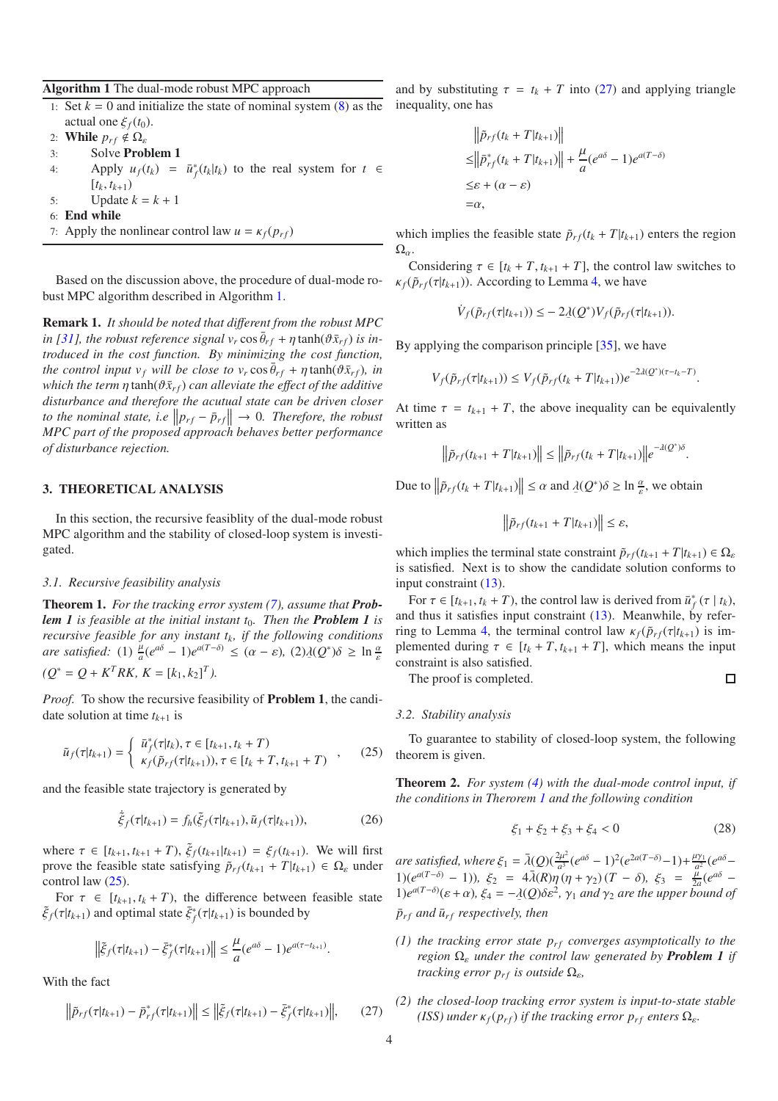<span id="page-3-0"></span>Algorithm 1 The dual-mode robust MPC approach

- 1: Set  $k = 0$  and initialize the state of nominal system  $(8)$  as the actual one  $\xi_f(t_0)$ .
- 2: **While**  $p_{rf} \notin \Omega$ <sub>ε</sub>
- 3: Solve Problem 1
- 4: Apply  $u_f(t_k) = \bar{u}_f^*(t_k|t_k)$  to the real system for  $t \in$  $[t_k, t_{k+1})$
- 5: Update  $k = k + 1$
- 6: End while
- 7: Apply the nonlinear control law  $u = \kappa_f(p_{rf})$

Based on the discussion above, the procedure of dual-mode robust MPC algorithm described in Algorithm [1.](#page-3-0)

Remark 1. *It should be noted that di*ff*erent from the robust MPC*  $\int$ *in* [\[31\]](#page-6-20), the robust reference signal  $v_r \cos \bar{\theta}_{rf} + \eta \tanh(\vartheta \bar{x}_{rf})$  is in*troduced in the cost function. By minimizing the cost function, the control input v<sub>f</sub> will be close to v<sub>r</sub> cos*  $\bar{\theta}_{rf} + \eta \tanh(\vartheta \bar{x}_{rf})$ *, in which the term*  $\eta$  tanh( $\vartheta \bar{x}_{rf}$ ) *can alleviate the effect of the additive disturbance and therefore the acutual state can be driven closer* to the nominal state, i.e  $||p_{rf} - \bar{p}_{rf}|| \rightarrow 0$ . Therefore, the robust *MPC part of the proposed approach behaves better performance of disturbance rejection.*

## 3. THEORETICAL ANALYSIS

In this section, the recursive feasiblity of the dual-mode robust MPC algorithm and the stability of closed-loop system is investigated.

## *3.1. Recursive feasibility analysis*

<span id="page-3-3"></span>Theorem 1. *For the tracking error system [\(7\)](#page-1-4), assume that Problem 1 is feasible at the initial instant t<sub>0</sub>. Then the Problem 1 is recursive feasible for any instant tk, if the following conditions are satisfied:* (1)  $\frac{\mu}{a}(e^{a\delta} - 1)e^{a(T-\delta)} \leq (a - \varepsilon)$ ,  $(2)\lambda(Q^*)\delta \geq \ln \frac{a}{\varepsilon}$  $(Q^* = Q + K^T R K, K = [k_1, k_2]^T$ 

*Proof.* To show the recursive feasibility of **Problem 1**, the candidate solution at time  $t_{k+1}$  is

$$
\tilde{u}_f(\tau|t_{k+1}) = \begin{cases}\n\bar{u}_f^*(\tau|t_k), \tau \in [t_{k+1}, t_k + T) \\
\kappa_f(\tilde{p}_{rf}(\tau|t_{k+1})), \tau \in [t_k + T, t_{k+1} + T)\n\end{cases},
$$
\n(25)

and the feasible state trajectory is generated by

$$
\dot{\tilde{\xi}}_f(\tau|t_{k+1}) = f_h(\tilde{\xi}_f(\tau|t_{k+1}), \tilde{u}_f(\tau|t_{k+1})),
$$
\n(26)

where  $\tau \in [t_{k+1}, t_{k+1} + T)$ ,  $\tilde{\xi}_f(t_{k+1}|t_{k+1}) = \xi_f(t_{k+1})$ . We will first prove the feasible state satisfying  $\tilde{p}_{rf}(t_{k+1} + T|t_{k+1}) \in \Omega_{\varepsilon}$  under control law [\(25\)](#page-3-1).

For  $\tau \in [t_{k+1}, t_k + T)$ , the difference between feasible state  $\tilde{\xi}_f(\tau|t_{k+1})$  and optimal state  $\bar{\xi}_f^*(\tau|t_{k+1})$  is bounded by

$$
\left\|\tilde{\xi}_f(\tau|t_{k+1}) - \bar{\xi}_f^*(\tau|t_{k+1})\right\| \leq \frac{\mu}{a}(e^{a\delta} - 1)e^{a(\tau - t_{k+1})}.
$$

With the fact

$$
\left\|\tilde{p}_{rf}(\tau|t_{k+1}) - \bar{p}_{rf}^*(\tau|t_{k+1})\right\| \le \left\|\tilde{\xi}_f(\tau|t_{k+1}) - \bar{\xi}_f^*(\tau|t_{k+1})\right\|, \qquad (27)
$$

and by substituting  $\tau = t_k + T$  into [\(27\)](#page-3-2) and applying triangle inequality, one has

$$
\|\tilde{p}_{rf}(t_k + T|t_{k+1})\|
$$
  
\n
$$
\leq \|\tilde{p}_{rf}^*(t_k + T|t_{k+1})\| + \frac{\mu}{a}(e^{a\delta} - 1)e^{a(T-\delta)}
$$
  
\n
$$
\leq \varepsilon + (\alpha - \varepsilon)
$$
  
\n
$$
= \alpha,
$$

which implies the feasible state  $\tilde{p}_{rf}(t_k + T|t_{k+1})$  enters the region  $\Omega_{\alpha}$ .

Considering  $\tau \in [t_k + T, t_{k+1} + T]$ , the control law switches to  $\kappa_f(\tilde{p}_{rf}(\tau|t_{k+1}))$ . According to Lemma [4,](#page-2-4) we have

$$
\dot{V}_f(\tilde{p}_{rf}(\tau|t_{k+1})) \leq -2 \underline{\lambda}(Q^*) V_f(\tilde{p}_{rf}(\tau|t_{k+1})).
$$

By applying the comparison principle [\[35\]](#page-6-19), we have

$$
V_f(\tilde{p}_{rf}(\tau|t_{k+1})) \leq V_f(\tilde{p}_{rf}(t_k+T|t_{k+1}))e^{-2\lambda(Q^*)(\tau-t_k-T)}.
$$

At time  $\tau = t_{k+1} + T$ , the above inequality can be equivalently written as

$$
\left\|\tilde{p}_{rf}(t_{k+1}+T|t_{k+1})\right\| \leq \left\|\tilde{p}_{rf}(t_k+T|t_{k+1})\right\|e^{-\lambda(Q^*)\delta}.
$$

Due to  $\left\|\tilde{p}_{rf}(t_k + T|t_{k+1})\right\| \leq \alpha$  and  $\lambda(Q^*)\delta \geq \ln \frac{\alpha}{\varepsilon}$ , we obtain

$$
\left\|\tilde{p}_{rf}(t_{k+1}+T|t_{k+1})\right\|\leq\varepsilon,
$$

which implies the terminal state constraint  $\tilde{p}_{rf}(t_{k+1} + T|t_{k+1}) \in \Omega_{\varepsilon}$ is satisfied. Next is to show the candidate solution conforms to input constraint [\(13\)](#page-2-2).

For  $\tau \in [t_{k+1}, t_k + T)$ , the control law is derived from  $\bar{u}_f^*(\tau | t_k)$ , and thus it satisfies input constraint [\(13\)](#page-2-2). Meanwhile, by refer-ring to Lemma [4,](#page-2-4) the terminal control law  $\kappa_f(\tilde{p}_{rf}(\tau|t_{k+1}))$  is implemented during  $\tau \in [t_k + T, t_{k+1} + T]$ , which means the input constraint is also satisfied.

The proof is completed.

$$
\Box
$$

# *3.2. Stability analysis*

<span id="page-3-1"></span>To guarantee to stability of closed-loop system, the following theorem is given.

Theorem 2. *For system [\(4\)](#page-1-3) with the dual-mode control input, if the conditions in Therorem [1](#page-3-3) and the following condition*

$$
\xi_1 + \xi_2 + \xi_3 + \xi_4 < 0 \tag{28}
$$

*are satisfied, where*  $\xi_1 = \bar{\lambda}(Q)(\frac{2\mu^2}{\sigma^3})$  $\frac{2\mu^2}{a^3}(e^{a\delta}-1)^2(e^{2a(T-\delta)}-1)+\frac{\mu\gamma_1}{a^2}(e^{a\delta}-1)$ 1)( $e^{a(T-\delta)} - 1$ )),  $\xi_2 = 4\bar{\lambda}(R)\bar{\eta}(\eta + \gamma_2)(T - \delta)$ ,  $\xi_3 = \frac{\bar{\mu}}{2\epsilon}$  $\frac{\mu}{2a}(e^{a\delta} 1)e^{a(T-δ)}(ε+α)$ ,  $ξ_4 = -λ(Q)δε<sup>2</sup>$ ,  $γ_1$  *and*  $γ_2$  *are the upper bound of*  $\bar{p}_{rf}$  *and*  $\bar{u}_{rf}$  *respectively, then* 

- *(1) the tracking error state*  $p_{rf}$  *converges asymptotically to the region*  $\Omega_{\varepsilon}$  *under the control law generated by Problem 1 <i>if tracking error*  $p_{rf}$  *is outside*  $\Omega_{\varepsilon}$ *,*
- <span id="page-3-2"></span>*(2) the closed-loop tracking error system is input-to-state stable (ISS) under*  $\kappa_f(p_{rf})$  *if the tracking error*  $p_{rf}$  *enters*  $\Omega_{\varepsilon}$ *.*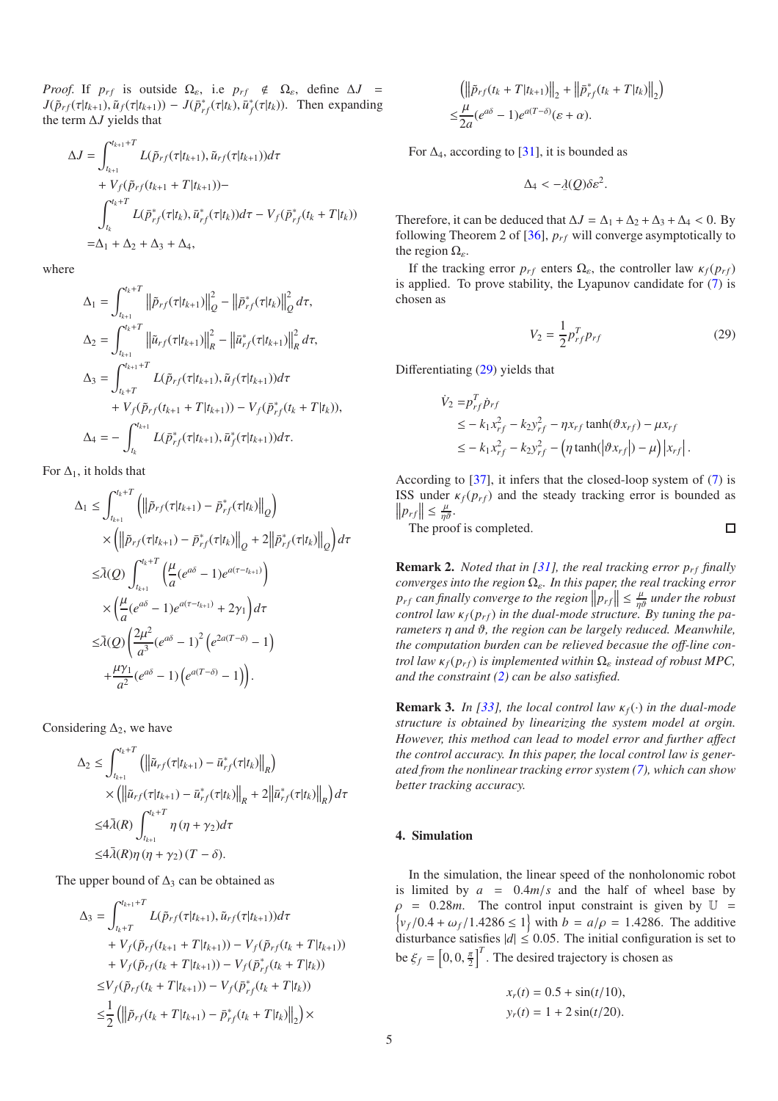*Proof.* If  $p_{rf}$  is outside  $\Omega_{\varepsilon}$ , i.e  $p_{rf} \notin \Omega_{\varepsilon}$ , define  $\Delta J =$  $J(\tilde{p}_{rf}(\tau|t_{k+1}), \tilde{u}_f(\tau|t_{k+1})) - J(\tilde{p}_{rf}^*(\tau|t_k), \tilde{u}_f^*(\tau|t_k)).$  Then expanding the term ∆*J* yields that

$$
\Delta J = \int_{t_{k+1}}^{t_{k+1}+T} L(\tilde{p}_{rf}(\tau|t_{k+1}), \tilde{u}_{rf}(\tau|t_{k+1}))d\tau \n+ V_f(\tilde{p}_{rf}(t_{k+1}+T|t_{k+1})) - \n\int_{t_k}^{t_k+T} L(\tilde{p}_{rf}^*(\tau|t_k), \bar{u}_{rf}^*(\tau|t_k))d\tau - V_f(\tilde{p}_{rf}^*(t_k+T|t_k)) \n= \Delta_1 + \Delta_2 + \Delta_3 + \Delta_4,
$$

where

$$
\Delta_1 = \int_{t_{k+1}}^{t_k+T} \left\| \tilde{p}_{rf}(\tau | t_{k+1}) \right\|_{Q}^{2} - \left\| \bar{p}_{rf}^{*}(\tau | t_k) \right\|_{Q}^{2} d\tau,
$$
\n
$$
\Delta_2 = \int_{t_{k+1}}^{t_k+T} \left\| \tilde{u}_{rf}(\tau | t_{k+1}) \right\|_{R}^{2} - \left\| \bar{u}_{rf}^{*}(\tau | t_{k+1}) \right\|_{R}^{2} d\tau,
$$
\n
$$
\Delta_3 = \int_{t_k+T}^{t_{k+1}+T} L(\tilde{p}_{rf}(\tau | t_{k+1}), \tilde{u}_{f}(\tau | t_{k+1})) d\tau
$$
\n
$$
+ V_f(\tilde{p}_{rf}(t_{k+1} + T | t_{k+1})) - V_f(\bar{p}_{rf}^{*}(t_k + T | t_k)),
$$
\n
$$
\Delta_4 = - \int_{t_k}^{t_{k+1}} L(\bar{p}_{rf}^{*}(\tau | t_{k+1}), \bar{u}_{f}^{*}(\tau | t_{k+1})) d\tau.
$$

For  $\Delta_1$ , it holds that

$$
\Delta_1 \leq \int_{t_{k+1}}^{t_k+T} \left( \left\| \tilde{p}_{rf}(\tau | t_{k+1}) - \bar{p}_{rf}^*(\tau | t_k) \right\|_Q \right)
$$
  
\n
$$
\times \left( \left\| \tilde{p}_{rf}(\tau | t_{k+1}) - \bar{p}_{rf}^*(\tau | t_k) \right\|_Q + 2 \left\| \bar{p}_{rf}^*(\tau | t_k) \right\|_Q \right) d\tau
$$
  
\n
$$
\leq \bar{\lambda}(Q) \int_{t_{k+1}}^{t_k+T} \left( \frac{\mu}{a} (e^{a\delta} - 1) e^{a(\tau - t_{k+1})} \right)
$$
  
\n
$$
\times \left( \frac{\mu}{a} (e^{a\delta} - 1) e^{a(\tau - t_{k+1})} + 2\gamma_1 \right) d\tau
$$
  
\n
$$
\leq \bar{\lambda}(Q) \left( \frac{2\mu^2}{a^3} (e^{a\delta} - 1)^2 \left( e^{2a(T-\delta)} - 1 \right) \right)
$$
  
\n
$$
+ \frac{\mu\gamma_1}{a^2} (e^{a\delta} - 1) \left( e^{a(T-\delta)} - 1 \right) \right).
$$

Considering  $\Delta_2$ , we have

$$
\Delta_2 \le \int_{t_{k+1}}^{t_k+T} \left( \left\| \tilde{u}_{rf}(\tau | t_{k+1}) - \bar{u}_{rf}^*(\tau | t_k) \right\|_R \right)
$$
  
 
$$
\times \left( \left\| \tilde{u}_{rf}(\tau | t_{k+1}) - \bar{u}_{rf}^*(\tau | t_k) \right\|_R + 2 \left\| \bar{u}_{rf}^*(\tau | t_k) \right\|_R \right) d\tau
$$
  
 
$$
\le 4\bar{\lambda}(R) \int_{t_{k+1}}^{t_k+T} \eta(\eta + \gamma_2) d\tau
$$
  
 
$$
\le 4\bar{\lambda}(R) \eta(\eta + \gamma_2)(T - \delta).
$$

The upper bound of  $\Delta_3$  can be obtained as

$$
\Delta_3 = \int_{t_k+T}^{t_{k+1}+T} L(\tilde{p}_{rf}(\tau|t_{k+1}), \tilde{u}_{rf}(\tau|t_{k+1}))d\tau \n+ V_f(\tilde{p}_{rf}(t_{k+1}+T|t_{k+1})) - V_f(\tilde{p}_{rf}(t_k+T|t_{k+1})) \n+ V_f(\tilde{p}_{rf}(t_k+T|t_{k+1})) - V_f(\bar{p}_{rf}^*(t_k+T|t_k)) \n\leq V_f(\tilde{p}_{rf}(t_k+T|t_{k+1})) - V_f(\bar{p}_{rf}^*(t_k+T|t_k)) \n\leq \frac{1}{2} \left( \left\| \tilde{p}_{rf}(t_k+T|t_{k+1}) - \bar{p}_{rf}^*(t_k+T|t_k) \right\|_2 \right) \times
$$

$$
\left(\left\|\tilde{p}_{rf}(t_k+T|t_{k+1})\right\|_2+\left\|\bar{p}_{rf}^*(t_k+T|t_k)\right\|_2\right)
$$
  

$$
\leq \frac{\mu}{2a}(e^{a\delta}-1)e^{a(T-\delta)}(\varepsilon+\alpha).
$$

For  $\Delta_4$ , according to [\[31\]](#page-6-20), it is bounded as

$$
\Delta_4 < -\underline{\lambda}(Q)\delta \varepsilon^2.
$$

Therefore, it can be deduced that  $\Delta J = \Delta_1 + \Delta_2 + \Delta_3 + \Delta_4 < 0$ . By following Theorem 2 of  $[36]$ ,  $p_{rf}$  will converge asymptotically to the region  $\Omega_{\varepsilon}$ .

If the tracking error  $p_{rf}$  enters  $\Omega_{\varepsilon}$ , the controller law  $\kappa_f(p_{rf})$ is applied. To prove stability, the Lyapunov candidate for [\(7\)](#page-1-4) is chosen as

<span id="page-4-0"></span>
$$
V_2 = \frac{1}{2} p_{rf}^T p_{rf}
$$
 (29)

Differentiating [\(29\)](#page-4-0) yields that

$$
\dot{V}_2 = p_{rf}^T \dot{p}_{rf}
$$
\n
$$
\leq -k_1 x_{rf}^2 - k_2 y_{rf}^2 - \eta x_{rf} \tanh(\vartheta x_{rf}) - \mu x_{rf}
$$
\n
$$
\leq -k_1 x_{rf}^2 - k_2 y_{rf}^2 - \left(\eta \tanh(\left|\vartheta x_{rf}\right|) - \mu\right) \left|x_{rf}\right|.
$$

According to [\[37](#page-6-22)], it infers that the closed-loop system of [\(7\)](#page-1-4) is ISS under  $\kappa_f(p_{rf})$  and the steady tracking error is bounded as  $||p_{rf}|| \leq \frac{\mu}{\eta \vartheta}.$  $\Box$ 

The proof is completed.

**Remark 2.** *Noted that in* [\[31](#page-6-20)], the real tracking error  $p_{rf}$  finally *converges into the region*  $\Omega$ <sub>*ε</sub>. In this paper, the real tracking error*</sub>  $p_{rf}$  can finally converge to the region  $||p_{rf}|| \leq \frac{\mu}{m}$  under the robust *control law*  $\kappa_f(p_{rf})$  *in the dual-mode structure. By tuning the parameters* η *and* ϑ*, the region can be largely reduced. Meanwhile, the computation burden can be relieved becasue the o*ff*-line control law*  $\kappa_f(p_{rf})$  *is implemented within*  $\Omega_{\varepsilon}$  *instead of robust MPC*, *and the constraint [\(2\)](#page-1-7) can be also satisfied.*

**Remark 3.** *In [\[33](#page-6-16)], the local control law*  $\kappa_f(\cdot)$  *in the dual-mode structure is obtained by linearizing the system model at orgin. However, this method can lead to model error and further a*ff*ect the control accuracy. In this paper, the local control law is generated from the nonlinear tracking error system [\(7\)](#page-1-4), which can show better tracking accuracy.*

# 4. Simulation

In the simulation, the linear speed of the nonholonomic robot is limited by  $a = 0.4m/s$  and the half of wheel base by  $\rho$  = 0.28*m*. The control input constraint is given by  $\mathbb{U}$  =  $\langle v_f/0.4 + \omega_f/1.4286 \le 1 \rangle$  with  $b = a/\rho = 1.4286$ . The additive disturbance satisfies  $|d| \le 0.05$ . The initial configuration is set to be  $\xi_f = \left[0, 0, \frac{\pi}{2}\right]^T$ . The desired trajectory is chosen as

$$
x_r(t) = 0.5 + \sin(t/10),
$$
  

$$
y_r(t) = 1 + 2\sin(t/20).
$$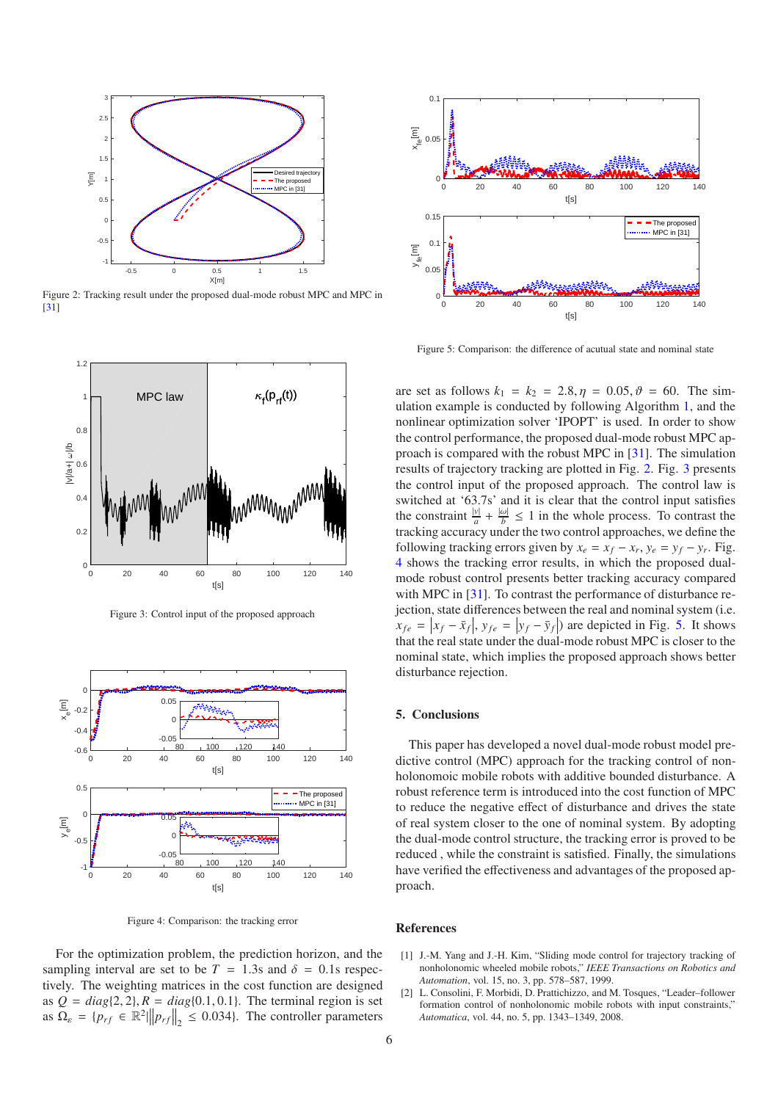

<span id="page-5-1"></span>Figure 2: Tracking result under the proposed dual-mode robust MPC and MPC in [\[31](#page-6-20)]



<span id="page-5-2"></span>Figure 3: Control input of the proposed approach



<span id="page-5-3"></span>Figure 4: Comparison: the tracking error

For the optimization problem, the prediction horizon, and the sampling interval are set to be  $T = 1.3$ s and  $\delta = 0.1$ s respectively. The weighting matrices in the cost function are designed as  $Q = diag\{2, 2\}$ ,  $R = diag\{0.1, 0.1\}$ . The terminal region is set as  $\Omega_{\varepsilon} = \{p_{rf} \in \mathbb{R}^2 \mid ||p_{rf}||_2 \le 0.034\}$ . The controller parameters



<span id="page-5-4"></span>Figure 5: Comparison: the difference of acutual state and nominal state

are set as follows  $k_1 = k_2 = 2.8, \eta = 0.05, \vartheta = 60$ . The simulation example is conducted by following Algorithm [1,](#page-3-0) and the nonlinear optimization solver 'IPOPT' is used. In order to show the control performance, the proposed dual-mode robust MPC approach is compared with the robust MPC in [\[31](#page-6-20)]. The simulation results of trajectory tracking are plotted in Fig. [2.](#page-5-1) Fig. [3](#page-5-2) presents the control input of the proposed approach. The control law is switched at '63.7s' and it is clear that the control input satisfies the constraint  $\frac{|v|}{a} + \frac{|w|}{b} \le 1$  in the whole process. To contrast the tracking accuracy under the two control approaches, we define the following tracking errors given by  $x_e = x_f - x_r$ ,  $y_e = y_f - y_r$ . Fig. [4](#page-5-3) shows the tracking error results, in which the proposed dualmode robust control presents better tracking accuracy compared with MPC in [\[31\]](#page-6-20). To contrast the performance of disturbance rejection, state differences between the real and nominal system (i.e.  $x_{fe} = |x_f - \bar{x}_f|$ ,  $y_{fe} = |y_f - \bar{y}_f|$  are depicted in Fig. [5.](#page-5-4) It shows that the real state under the dual-mode robust MPC is closer to the nominal state, which implies the proposed approach shows better disturbance rejection.

#### 5. Conclusions

This paper has developed a novel dual-mode robust model predictive control (MPC) approach for the tracking control of nonholonomoic mobile robots with additive bounded disturbance. A robust reference term is introduced into the cost function of MPC to reduce the negative effect of disturbance and drives the state of real system closer to the one of nominal system. By adopting the dual-mode control structure, the tracking error is proved to be reduced , while the constraint is satisfied. Finally, the simulations have verified the effectiveness and advantages of the proposed approach.

#### References

- <span id="page-5-0"></span>[1] J.-M. Yang and J.-H. Kim, "Sliding mode control for trajectory tracking of nonholonomic wheeled mobile robots," *IEEE Transactions on Robotics and Automation*, vol. 15, no. 3, pp. 578–587, 1999.
- [2] L. Consolini, F. Morbidi, D. Prattichizzo, and M. Tosques, "Leader–follower formation control of nonholonomic mobile robots with input constraints," *Automatica*, vol. 44, no. 5, pp. 1343–1349, 2008.